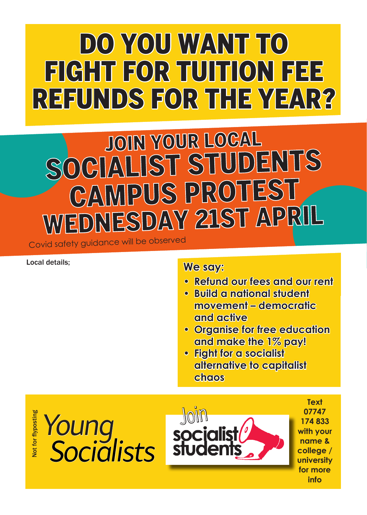## DO YOU WANT TO FIGHT FOR TUITION FEE REFUNDS FOR THE YEAR?

# JOIN YOUR LOCAL OCIALIST STUDENTS<br>CAMPUS PROTEST WEDNESDAY 21ST APRIL

Covid safety guidance will be observe<sup>d</sup>

## Local details;

## **We say:**

- **• Refund our fees and our rent**
- **• Build a national student movement – democratic and active**
- **• Organise for free education and make the 1% pay!**
- **• Fight for a socialist alternative to capitalist chaos**

Not for flyposting **Jot for flyposting**  Join *Young Socialists*



**Text 07747 174 833 with your name & college / university for more info**